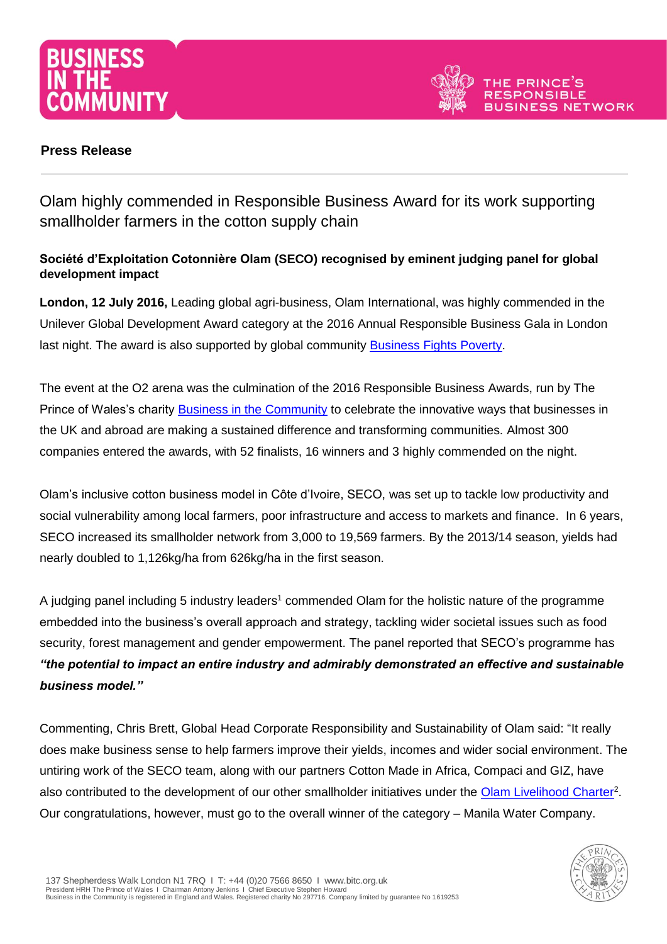



# **Press Release**

Olam highly commended in Responsible Business Award for its work supporting smallholder farmers in the cotton supply chain

# **Société d'Exploitation Cotonnière Olam (SECO) recognised by eminent judging panel for global development impact**

**London, 12 July 2016,** Leading global agri-business, Olam International, was highly commended in the Unilever Global Development Award category at the 2016 Annual Responsible Business Gala in London last night. The award is also supported by global community [Business Fights Poverty.](http://businessfightspoverty.org/)

The event at the O2 arena was the culmination of the 2016 Responsible Business Awards, run by The Prince of Wales's charity [Business in the Community](http://www.bitc.org.uk/) to celebrate the innovative ways that businesses in the UK and abroad are making a sustained difference and transforming communities. Almost 300 companies entered the awards, with 52 finalists, 16 winners and 3 highly commended on the night.

Olam's inclusive cotton business model in Côte d'Ivoire, SECO, was set up to tackle low productivity and social vulnerability among local farmers, poor infrastructure and access to markets and finance. In 6 years, SECO increased its smallholder network from 3,000 to 19,569 farmers. By the 2013/14 season, yields had nearly doubled to 1,126kg/ha from 626kg/ha in the first season.

A judging panel including 5 industry leaders<sup>1</sup> commended Olam for the holistic nature of the programme embedded into the business's overall approach and strategy, tackling wider societal issues such as food security, forest management and gender empowerment. The panel reported that SECO's programme has *"the potential to impact an entire industry and admirably demonstrated an effective and sustainable business model."*

Commenting, Chris Brett, Global Head Corporate Responsibility and Sustainability of Olam said: "It really does make business sense to help farmers improve their yields, incomes and wider social environment. The untiring work of the SECO team, along with our partners Cotton Made in Africa, Compaci and GIZ, have also contributed to the development of our other smallholder initiatives under the **Olam Livelihood Charter**<sup>2</sup>. Our congratulations, however, must go to the overall winner of the category – Manila Water Company.

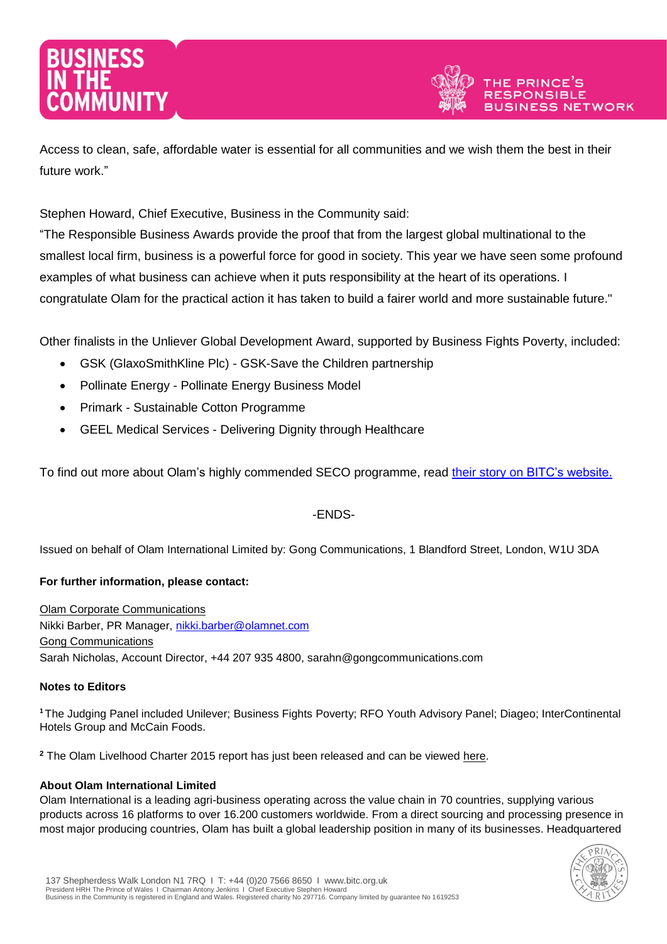

Access to clean, safe, affordable water is essential for all communities and we wish them the best in their future work."

Stephen Howard, Chief Executive, Business in the Community said:

"The Responsible Business Awards provide the proof that from the largest global multinational to the smallest local firm, business is a powerful force for good in society. This year we have seen some profound examples of what business can achieve when it puts responsibility at the heart of its operations. I congratulate Olam for the practical action it has taken to build a fairer world and more sustainable future."

Other finalists in the Unliever Global Development Award, supported by Business Fights Poverty, included:

- GSK (GlaxoSmithKline Plc) GSK-Save the Children partnership
- Pollinate Energy Pollinate Energy Business Model
- Primark Sustainable Cotton Programme
- GEEL Medical Services Delivering Dignity through Healthcare

To find out more about Olam's highly commended SECO programme, read [their story on BITC's website.](http://www.bitc.org.uk/our-resources/case-studies/olam-international-soci%C3%A9t%C3%A9-d%E2%80%99exploitation-cotonni%C3%A8re-olam-seco)

# -ENDS-

Issued on behalf of Olam International Limited by: Gong Communications, 1 Blandford Street, London, W1U 3DA

## **For further information, please contact:**

Olam Corporate Communications Nikki Barber, PR Manager, [nikki.barber@olamnet.com](mailto:nikki.barber@olamnet.com) Gong Communications Sarah Nicholas, Account Director, +44 207 935 4800, sarahn@gongcommunications.com

## **Notes to Editors**

**<sup>1</sup>**The Judging Panel included Unilever; Business Fights Poverty; RFO Youth Advisory Panel; Diageo; InterContinental Hotels Group and McCain Foods.

**<sup>2</sup>** The Olam Livelhood Charter 2015 report has just been released and can be viewed [here.](http://olamgroup.com/wp-content/uploads/2014/02/OLC-brochure-2015_screen.pdf)

## **About Olam International Limited**

Olam International is a leading agri-business operating across the value chain in 70 countries, supplying various products across 16 platforms to over 16.200 customers worldwide. From a direct sourcing and processing presence in most major producing countries, Olam has built a global leadership position in many of its businesses. Headquartered